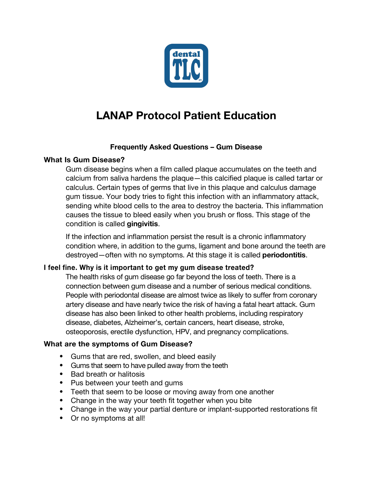

# **LANAP Protocol Patient Education**

# **Frequently Asked Questions – Gum Disease**

# **What Is Gum Disease?**

Gum disease begins when a film called plaque accumulates on the teeth and calcium from saliva hardens the plaque—this calcified plaque is called tartar or calculus. Certain types of germs that live in this plaque and calculus damage gum tissue. Your body tries to fight this infection with an inflammatory attack, sending white blood cells to the area to destroy the bacteria. This inflammation causes the tissue to bleed easily when you brush or floss. This stage of the condition is called **gingivitis**.

If the infection and inflammation persist the result is a chronic inflammatory condition where, in addition to the gums, ligament and bone around the teeth are destroyed—often with no symptoms. At this stage it is called **periodontitis**.

# **I feel fine. Why is it important to get my gum disease treated?**

The health risks of gum disease go far beyond the loss of teeth. There is a connection between gum disease and a number of serious medical conditions. People with periodontal disease are almost twice as likely to suffer from coronary artery disease and have nearly twice the risk of having a fatal heart attack. Gum disease has also been linked to other health problems, including respiratory disease, diabetes, Alzheimer's, certain cancers, heart disease, stroke, osteoporosis, erectile dysfunction, HPV, and pregnancy complications.

# **What are the symptoms of Gum Disease?**

- Gums that are red, swollen, and bleed easily
- Gums that seem to have pulled away from the teeth
- Bad breath or halitosis
- Pus between your teeth and gums
- Teeth that seem to be loose or moving away from one another
- Change in the way your teeth fit together when you bite
- Change in the way your partial denture or implant-supported restorations fit
- Or no symptoms at all!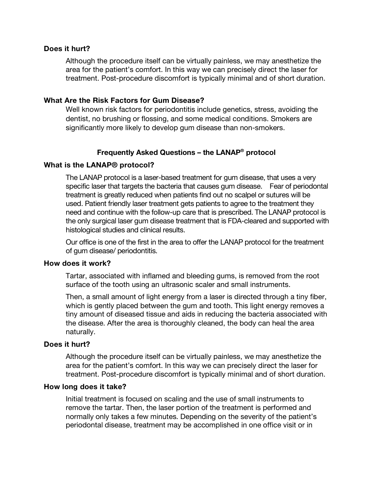## **Does it hurt?**

Although the procedure itself can be virtually painless, we may anesthetize the area for the patient's comfort. In this way we can precisely direct the laser for treatment. Post-procedure discomfort is typically minimal and of short duration.

## **What Are the Risk Factors for Gum Disease?**

Well known risk factors for periodontitis include genetics, stress, avoiding the dentist, no brushing or flossing, and some medical conditions. Smokers are significantly more likely to develop gum disease than non-smokers.

# **Frequently Asked Questions – the LANAP® protocol**

#### **What is the LANAP® protocol?**

The LANAP protocol is a laser-based treatment for gum disease, that uses a very specific laser that targets the bacteria that causes gum disease. Fear of periodontal treatment is greatly reduced when patients find out no scalpel or sutures will be used. Patient friendly laser treatment gets patients to agree to the treatment they need and continue with the follow-up care that is prescribed. The LANAP protocol is the only surgical laser gum disease treatment that is FDA-cleared and supported with histological studies and clinical results.

Our office is one of the first in the area to offer the LANAP protocol for the treatment of gum disease/ periodontitis.

#### **How does it work?**

Tartar, associated with inflamed and bleeding gums, is removed from the root surface of the tooth using an ultrasonic scaler and small instruments.

Then, a small amount of light energy from a laser is directed through a tiny fiber, which is gently placed between the gum and tooth. This light energy removes a tiny amount of diseased tissue and aids in reducing the bacteria associated with the disease. After the area is thoroughly cleaned, the body can heal the area naturally.

#### **Does it hurt?**

Although the procedure itself can be virtually painless, we may anesthetize the area for the patient's comfort. In this way we can precisely direct the laser for treatment. Post-procedure discomfort is typically minimal and of short duration.

#### **How long does it take?**

Initial treatment is focused on scaling and the use of small instruments to remove the tartar. Then, the laser portion of the treatment is performed and normally only takes a few minutes. Depending on the severity of the patient's periodontal disease, treatment may be accomplished in one office visit or in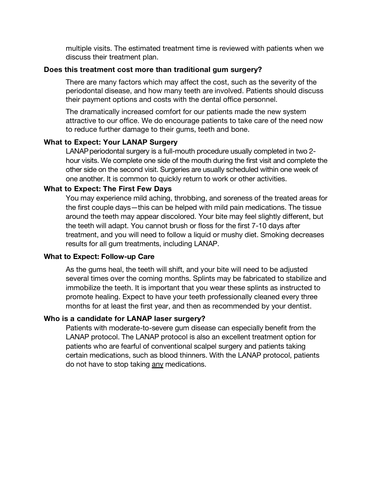multiple visits. The estimated treatment time is reviewed with patients when we discuss their treatment plan.

#### **Does this treatment cost more than traditional gum surgery?**

There are many factors which may affect the cost, such as the severity of the periodontal disease, and how many teeth are involved. Patients should discuss their payment options and costs with the dental office personnel.

The dramatically increased comfort for our patients made the new system attractive to our office. We do encourage patients to take care of the need now to reduce further damage to their gums, teeth and bone.

# **What to Expect: Your LANAP Surgery**

LANAPperiodontal surgery is a full-mouth procedure usually completed in two 2 hour visits. We complete one side of the mouth during the first visit and complete the other side on the second visit. Surgeries are usually scheduled within one week of one another. It is common to quickly return to work or other activities.

# **What to Expect: The First Few Days**

You may experience mild aching, throbbing, and soreness of the treated areas for the first couple days—this can be helped with mild pain medications. The tissue around the teeth may appear discolored. Your bite may feel slightly different, but the teeth will adapt. You cannot brush or floss for the first 7-10 days after treatment, and you will need to follow a liquid or mushy diet. Smoking decreases results for all gum treatments, including LANAP.

# **What to Expect: Follow-up Care**

As the gums heal, the teeth will shift, and your bite will need to be adjusted several times over the coming months. Splints may be fabricated to stabilize and immobilize the teeth. It is important that you wear these splints as instructed to promote healing. Expect to have your teeth professionally cleaned every three months for at least the first year, and then as recommended by your dentist.

# **Who is a candidate for LANAP laser surgery?**

Patients with moderate-to-severe gum disease can especially benefit from the LANAP protocol. The LANAP protocol is also an excellent treatment option for patients who are fearful of conventional scalpel surgery and patients taking certain medications, such as blood thinners. With the LANAP protocol, patients do not have to stop taking any medications.